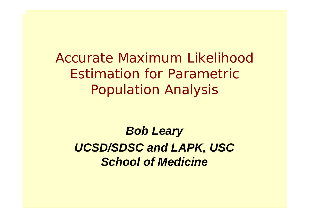*Accurate Maximum Likelihood Estimation for Parametric Population Analysis* 

#### *Bob Leary*

*UCSD/SDSC and LAPK, USC School of Medicine*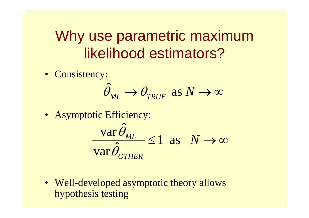## Why use parametric maximum likelihood estimators?

• Consistency:

$$
\hat{\theta}_{ML} \rightarrow \theta_{TRUE} \text{ as } N \rightarrow \infty
$$

• Asymptotic Efficiency:

$$
\frac{\text{var}\,\hat{\theta}_{ML}}{\text{var}\,\hat{\theta}_{OTHER}} \le 1 \text{ as } N \to \infty
$$

• Well-developed asymptotic theory allows hypothesis testing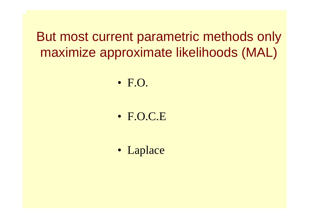But most current parametric methods only maximize approximate likelihoods (MAL)

• F.O.

•F.O.C.E

• Laplace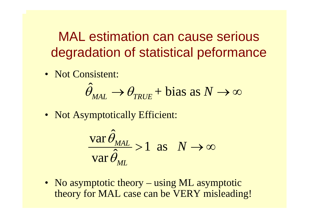MAL estimation can cause serious degradation of statistical peformance

• Not Consistent:

$$
\hat{\theta}_{\text{MAL}} \rightarrow \theta_{\text{TRUE}} + \text{bias as } N \rightarrow \infty
$$

• Not Asymptotically Efficient:

$$
\frac{\text{var}\,\hat{\theta}_{ML}}{\text{var}\,\hat{\theta}_{ML}} > 1 \text{ as } N \to \infty
$$

• No asymptotic theory – using ML asymptotic theory for MAL case can be VERY misleading!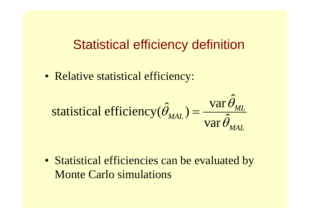#### Statistical efficiency definition

• Relative statistical efficiency:

$$
\text{statistical efficiency}(\hat{\theta}_{\text{MAL}}) = \frac{\text{var}\,\hat{\theta}_{\text{ML}}}{\text{var}\,\hat{\theta}_{\text{MAL}}}
$$

• Statistical efficiencies can be evaluated by Monte Carlo simulations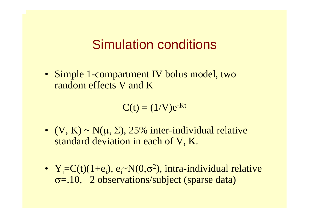#### Simulation conditions

• Simple 1-compartment IV bolus model, two random effects V and K

 $C(t) = (1/V)e^{-Kt}$ 

- $(V, K) \sim N(\mu, \Sigma)$ , 25% inter-individual relative standard deviation in each of V, K.
- $Y_i = C(t)(1+e_i)$ ,  $e_i \sim N(0,\sigma^2)$ , intra-individual relative σ=.10, 2 observations/subject (sparse data)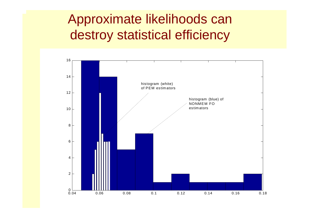### Approximate likelihoods can destroy statistical efficiency

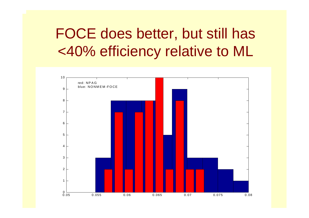# FOCE does better, but still has <40% efficiency relative to ML

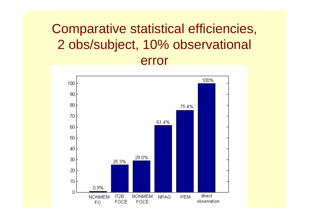### Comparative statistical efficiencies, 2 obs/subject, 10% observational error

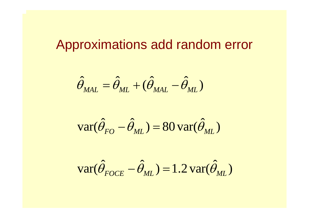#### Approximations add random error

$$
\hat{\theta}_{ML} = \hat{\theta}_{ML} + (\hat{\theta}_{ML} - \hat{\theta}_{ML})
$$

$$
\text{var}(\hat{\theta}_{FO} - \hat{\theta}_{ML}) = 80 \text{ var}(\hat{\theta}_{ML})
$$

$$
\text{var}(\hat{\theta}_{FOCE} - \hat{\theta}_{ML}) = 1.2 \text{var}(\hat{\theta}_{ML})
$$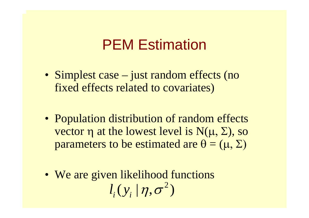### PEM Estimation

- Simplest case just random effects (no fixed effects related to covariates)
- Population distribution of random effects vector  $\eta$  at the lowest level is  $N(\mu, \Sigma)$ , so parameters to be estimated are  $\theta = (\mu, \Sigma)$
- We are given likelihood functions  $l_i^{}(\mathit{y}_i^{} \,|\, \eta , \sigma^z)$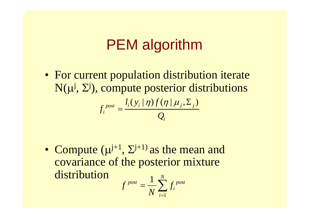# PEM algorithm

• For current population distribution iterate  $N(\mu^{j}, \Sigma^{j})$ , compute posterior distributions  $\int_{post}$   $\int_l (y^+_i | \eta) f(\eta^+_j, \Sigma^-_j)$ *i i* $l_i(y_i | \eta) f$ *f Q*  $\eta$ )  $f(\eta | \mu_i, \Sigma)$ =

• Compute  $(\mu^{j+1}, \Sigma^{j+1})$  as the mean and covariance of the posterior mixture distribution1*N*

$$
f^{post} = \frac{1}{N} \sum_{i=1}^{N} f_i^{post}
$$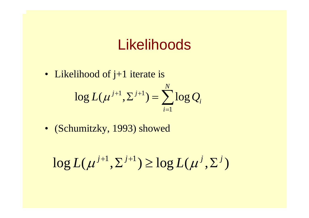### Likelihoods

1*i*=

*i*

- Likelihood of j+1 iterate is  $1 \nabla j+1$  $\log L(\mu^{J+1}, \Sigma^{J+1}) = \sum log$  $j+1$   $\nabla j+1$   $\sum$   $\sum$  $L(\mu^{j+1},\Sigma^{j+1})=\sum\log Q$
- (Schumitzky, 1993) showed

$$
\log L(\mu^{j+1}, \Sigma^{j+1}) \ge \log L(\mu^j, \Sigma^j)
$$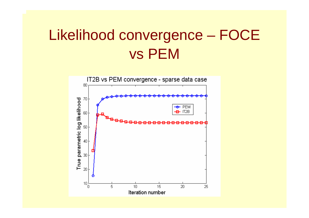# Likelihood convergence – FOCE vs PEM

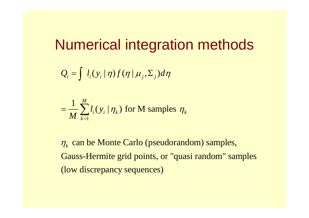### Numerical integration methods

$$
Q_i = \int l_i(y_i \mid \eta) f(\eta \mid \mu_j, \Sigma_j) d\eta
$$

$$
= \frac{1}{M} \sum_{k=1}^{M} l_i(y_i | \eta_k)
$$
 for M samples  $\eta_k$ 

 $\eta_k$  can be Monte Carlo (pseudorandom) samples, Gauss-Hermite grid points, or "quasi random" samples (low discrepancy sequences)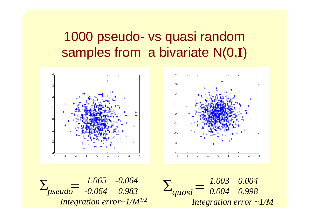### 1000 pseudo- vs quasi random samples from a bivariate N(0,**I**)





*1.065 -0.064*  $\Sigma_{pseudo} = \frac{1.003 - 0.004}{0.064 - 0.983} = \Sigma_{quasi} =$ *Integration error~1/M1/2*

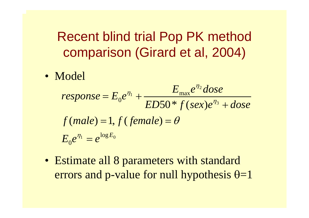Recent blind trial Pop PK method comparison (Girard et al, 2004)

• Model

$$
response = E_0 e^{\eta_1} + \frac{E_{\text{max}} e^{\eta_2} \text{dose}}{ED50 * f (sex) e^{\eta_3} + \text{dose}}
$$
  

$$
f(male) = 1, f (female) = \theta
$$
  

$$
E_0 e^{\eta_1} = e^{\log E_0}
$$

• Estimate all 8 parameters with standard errors and p-value for null hypothesis  $\theta$ =1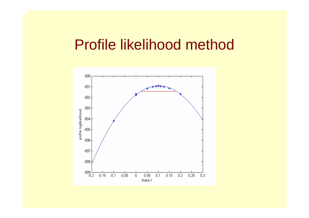#### Profile likelihood method